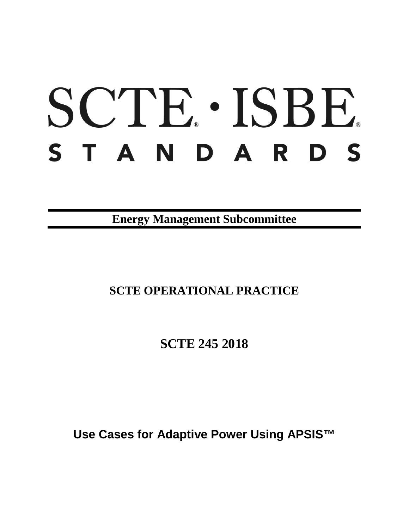# SCTE · ISBE. S T A N D A R D S

**Energy Management Subcommittee**

## **SCTE OPERATIONAL PRACTICE**

**SCTE 245 2018**

**Use Cases for Adaptive Power Using APSIS™**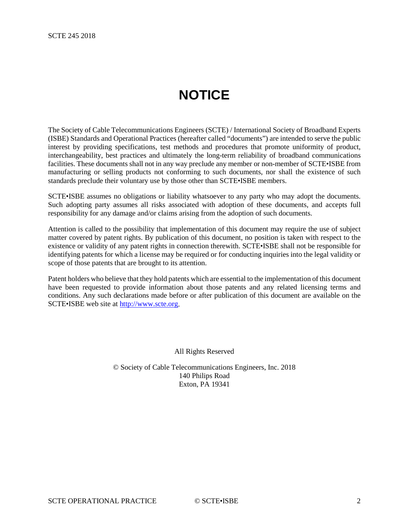## **NOTICE**

<span id="page-1-0"></span>The Society of Cable Telecommunications Engineers (SCTE) / International Society of Broadband Experts (ISBE) Standards and Operational Practices (hereafter called "documents") are intended to serve the public interest by providing specifications, test methods and procedures that promote uniformity of product, interchangeability, best practices and ultimately the long-term reliability of broadband communications facilities. These documents shall not in any way preclude any member or non-member of SCTE•ISBE from manufacturing or selling products not conforming to such documents, nor shall the existence of such standards preclude their voluntary use by those other than SCTE•ISBE members.

SCTE•ISBE assumes no obligations or liability whatsoever to any party who may adopt the documents. Such adopting party assumes all risks associated with adoption of these documents, and accepts full responsibility for any damage and/or claims arising from the adoption of such documents.

Attention is called to the possibility that implementation of this document may require the use of subject matter covered by patent rights. By publication of this document, no position is taken with respect to the existence or validity of any patent rights in connection therewith. SCTE•ISBE shall not be responsible for identifying patents for which a license may be required or for conducting inquiries into the legal validity or scope of those patents that are brought to its attention.

Patent holders who believe that they hold patents which are essential to the implementation of this document have been requested to provide information about those patents and any related licensing terms and conditions. Any such declarations made before or after publication of this document are available on the SCTE•ISBE web site at [http://www.scte.org.](http://www.scte.org/)

All Rights Reserved

© Society of Cable Telecommunications Engineers, Inc. 2018 140 Philips Road Exton, PA 19341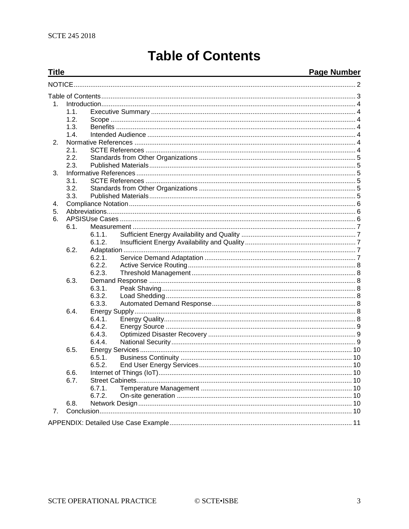## **Table of Contents**

#### <span id="page-2-0"></span>**Title Page Number**  $1$  $1.1.$  $1.2.$  $1.3.$  $14$ Intended Audience 4 (1996) 4 (1997) 4 (1998) 4 (1998) 5 (1998) 5 (1998) 5 (1998) 5 (1998) 5 (1998) 5 (1998) 5 (1998) 5 (1998) 5 (1998) 5 (1998) 5 (1998) 5 (1998) 5 (1998) 5 (1998) 5 (1998) 5 (1998) 5 (1998) 5 (1998) 5 (199  $2<sub>1</sub>$  $21$  $2.2.$  $2.3.$  $\mathcal{R}$  $3.1.$  $3.2.$  $3.3.$ 4 5. 6. 61 611  $6.1.2.$  $6.2.$  $6.2.1.$  $6.2.2.$  $6.2.3.$ 6.3.  $6.3.1.$  $6.3.2.$ 6.3.3.  $6.4.$  $6.4.1.$ 6.4.2.  $6.4.3.$ 6.4.4.  $6.5.$  $6.5.1.$  $6.5.2.$ 6.6.  $6.7.$  $6.7.1.$  $6.7.2.$  $6.8.$  $7<sub>1</sub>$

© SCTE•ISBE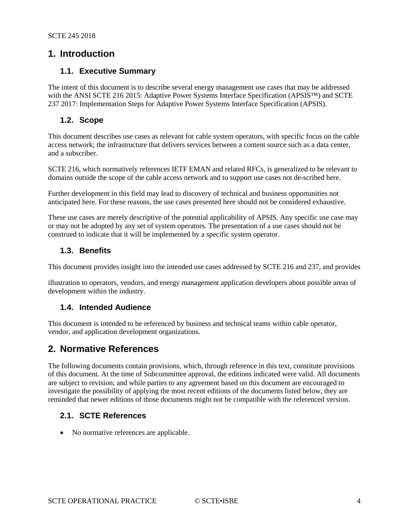#### <span id="page-3-0"></span>**1. Introduction**

#### <span id="page-3-1"></span>**1.1. Executive Summary**

The intent of this document is to describe several energy management use cases that may be addressed with the ANSI SCTE 216 2015: Adaptive Power Systems Interface Specification (APSIS™) and SCTE 237 2017: Implementation Steps for Adaptive Power Systems Interface Specification (APSIS).

#### <span id="page-3-2"></span>**1.2. Scope**

This document describes use cases as relevant for cable system operators, with specific focus on the cable access network; the infrastructure that delivers services between a content source such as a data center, and a subscriber.

SCTE 216, which normatively references IETF EMAN and related RFCs, is generalized to be relevant to domains outside the scope of the cable access network and to support use cases not de-scribed here.

Further development in this field may lead to discovery of technical and business opportunities not anticipated here. For these reasons, the use cases presented here should not be considered exhaustive.

These use cases are merely descriptive of the potential applicability of APSIS. Any specific use case may or may not be adopted by any set of system operators. The presentation of a use cases should not be construed to indicate that it will be implemented by a specific system operator.

#### <span id="page-3-3"></span>**1.3. Benefits**

This document provides insight into the intended use cases addressed by SCTE 216 and 237, and provides

illustration to operators, vendors, and energy management application developers about possible areas of development within the industry.

#### <span id="page-3-4"></span>**1.4. Intended Audience**

This document is intended to be referenced by business and technical teams within cable operator, vendor, and application development organizations.

#### <span id="page-3-5"></span>**2. Normative References**

The following documents contain provisions, which, through reference in this text, constitute provisions of this document. At the time of Subcommittee approval, the editions indicated were valid. All documents are subject to revision; and while parties to any agreement based on this document are encouraged to investigate the possibility of applying the most recent editions of the documents listed below, they are reminded that newer editions of those documents might not be compatible with the referenced version.

#### <span id="page-3-6"></span>**2.1. SCTE References**

• No normative references are applicable.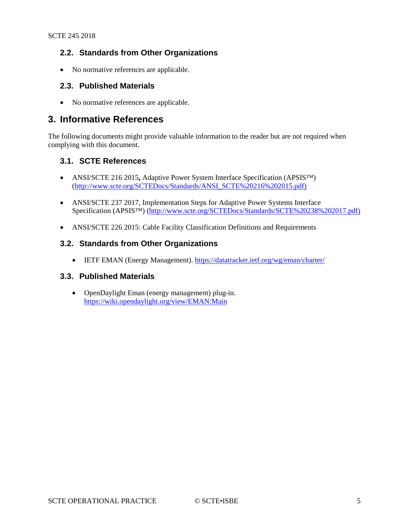#### <span id="page-4-0"></span>**2.2. Standards from Other Organizations**

<span id="page-4-1"></span>• No normative references are applicable.

#### **2.3. Published Materials**

• No normative references are applicable.

#### <span id="page-4-2"></span>**3. Informative References**

The following documents might provide valuable information to the reader but are not required when complying with this document.

#### <span id="page-4-3"></span>**3.1. SCTE References**

- ANSI/SCTE 216 2015**,** Adaptive Power System Interface Specification (APSIS™) [\(http://www.scte.org/SCTEDocs/Standards/ANSI\\_SCTE%20216%202015.pdf\)](http://www.scte.org/SCTEDocs/Standards/ANSI_SCTE%252520216%2525202015.pdf)
- ANSI/SCTE 237 2017, Implementation Steps for Adaptive Power Systems Interface Specification (APSIS™) [\(http://www.scte.org/SCTEDocs/Standards/SCTE%20238%202017.pdf\)](http://www.scte.org/SCTEDocs/Standards/SCTE%2520238%25202017.pdf)
- <span id="page-4-4"></span>• ANSI/SCTE 226 2015: Cable Facility Classification Definitions and Requirements

#### **3.2. Standards from Other Organizations**

• IETF EMAN (Energy Management).<https://datatracker.ietf.org/wg/eman/charter/>

#### <span id="page-4-5"></span>**3.3. Published Materials**

• OpenDaylight Eman (energy management) plug-in. <https://wiki.opendaylight.org/view/EMAN:Main>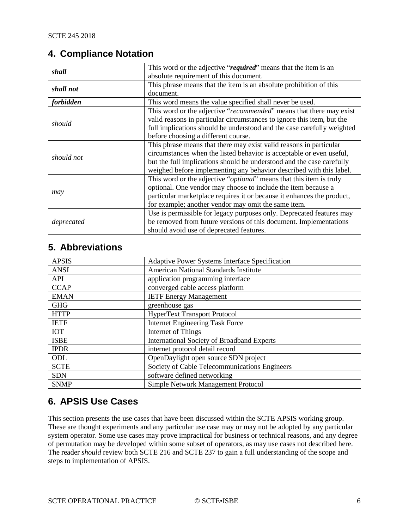#### <span id="page-5-0"></span>**4. Compliance Notation**

| shall      | This word or the adjective "required" means that the item is an              |
|------------|------------------------------------------------------------------------------|
|            | absolute requirement of this document.                                       |
| shall not  | This phrase means that the item is an absolute prohibition of this           |
|            | document.                                                                    |
| forbidden  | This word means the value specified shall never be used.                     |
| should     | This word or the adjective "recommended" means that there may exist          |
|            | valid reasons in particular circumstances to ignore this item, but the       |
|            | full implications should be understood and the case carefully weighted       |
|            | before choosing a different course.                                          |
| should not | This phrase means that there may exist valid reasons in particular           |
|            | circumstances when the listed behavior is acceptable or even useful,         |
|            | but the full implications should be understood and the case carefully        |
|            | weighed before implementing any behavior described with this label.          |
| may        | This word or the adjective " <i>optional</i> " means that this item is truly |
|            | optional. One vendor may choose to include the item because a                |
|            | particular marketplace requires it or because it enhances the product,       |
|            | for example; another vendor may omit the same item.                          |
| deprecated | Use is permissible for legacy purposes only. Deprecated features may         |
|            | be removed from future versions of this document. Implementations            |
|            | should avoid use of deprecated features.                                     |

### <span id="page-5-1"></span>**5. Abbreviations**

| <b>APSIS</b> | Adaptive Power Systems Interface Specification    |
|--------------|---------------------------------------------------|
| <b>ANSI</b>  | American National Standards Institute             |
| <b>API</b>   | application programming interface                 |
| <b>CCAP</b>  | converged cable access platform                   |
| <b>EMAN</b>  | <b>IETF Energy Management</b>                     |
| <b>GHG</b>   | greenhouse gas                                    |
| <b>HTTP</b>  | <b>HyperText Transport Protocol</b>               |
| <b>IETF</b>  | <b>Internet Engineering Task Force</b>            |
| <b>IOT</b>   | Internet of Things                                |
| <b>ISBE</b>  | <b>International Society of Broadband Experts</b> |
| <b>IPDR</b>  | internet protocol detail record                   |
| ODL          | OpenDaylight open source SDN project              |
| <b>SCTE</b>  | Society of Cable Telecommunications Engineers     |
| <b>SDN</b>   | software defined networking                       |
| <b>SNMP</b>  | Simple Network Management Protocol                |

### <span id="page-5-2"></span>**6. APSIS Use Cases**

This section presents the use cases that have been discussed within the SCTE APSIS working group. These are thought experiments and any particular use case may or may not be adopted by any particular system operator. Some use cases may prove impractical for business or technical reasons, and any degree of permutation may be developed within some subset of operators, as may use cases not described here. The reader *should* review both SCTE 216 and SCTE 237 to gain a full understanding of the scope and steps to implementation of APSIS.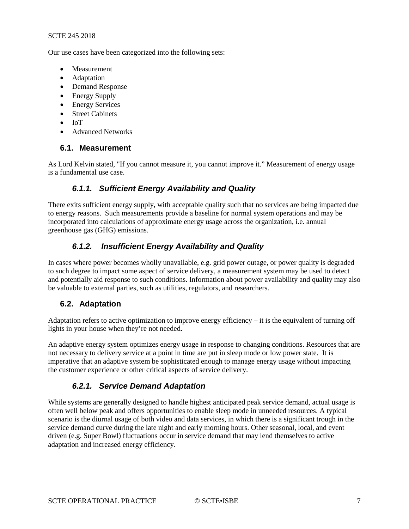#### SCTE 245 2018

Our use cases have been categorized into the following sets:

- Measurement
- Adaptation
- Demand Response
- Energy Supply
- Energy Services
- Street Cabinets
- IoT
- <span id="page-6-0"></span>• Advanced Networks

#### **6.1. Measurement**

<span id="page-6-1"></span>As Lord Kelvin stated, "If you cannot measure it, you cannot improve it." Measurement of energy usage is a fundamental use case.

#### *6.1.1. Sufficient Energy Availability and Quality*

There exits sufficient energy supply, with acceptable quality such that no services are being impacted due to energy reasons. Such measurements provide a baseline for normal system operations and may be incorporated into calculations of approximate energy usage across the organization, i.e. annual greenhouse gas (GHG) emissions.

#### <span id="page-6-2"></span>*6.1.2. Insufficient Energy Availability and Quality*

In cases where power becomes wholly unavailable, e.g. grid power outage, or power quality is degraded to such degree to impact some aspect of service delivery, a measurement system may be used to detect and potentially aid response to such conditions. Information about power availability and quality may also be valuable to external parties, such as utilities, regulators, and researchers.

#### <span id="page-6-3"></span>**6.2. Adaptation**

Adaptation refers to active optimization to improve energy efficiency – it is the equivalent of turning off lights in your house when they're not needed.

An adaptive energy system optimizes energy usage in response to changing conditions. Resources that are not necessary to delivery service at a point in time are put in sleep mode or low power state. It is imperative that an adaptive system be sophisticated enough to manage energy usage without impacting the customer experience or other critical aspects of service delivery.

#### *6.2.1. Service Demand Adaptation*

<span id="page-6-4"></span>While systems are generally designed to handle highest anticipated peak service demand, actual usage is often well below peak and offers opportunities to enable sleep mode in unneeded resources. A typical scenario is the diurnal usage of both video and data services, in which there is a significant trough in the service demand curve during the late night and early morning hours. Other seasonal, local, and event driven (e.g. Super Bowl) fluctuations occur in service demand that may lend themselves to active adaptation and increased energy efficiency.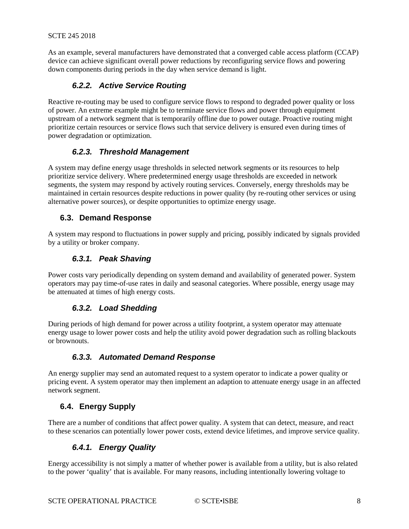<span id="page-7-0"></span>As an example, several manufacturers have demonstrated that a converged cable access platform (CCAP) device can achieve significant overall power reductions by reconfiguring service flows and powering down components during periods in the day when service demand is light.

#### *6.2.2. Active Service Routing*

Reactive re-routing may be used to configure service flows to respond to degraded power quality or loss of power. An extreme example might be to terminate service flows and power through equipment upstream of a network segment that is temporarily offline due to power outage. Proactive routing might prioritize certain resources or service flows such that service delivery is ensured even during times of power degradation or optimization.

#### *6.2.3. Threshold Management*

<span id="page-7-1"></span>A system may define energy usage thresholds in selected network segments or its resources to help prioritize service delivery. Where predetermined energy usage thresholds are exceeded in network segments, the system may respond by actively routing services. Conversely, energy thresholds may be maintained in certain resources despite reductions in power quality (by re-routing other services or using alternative power sources), or despite opportunities to optimize energy usage.

#### <span id="page-7-2"></span>**6.3. Demand Response**

<span id="page-7-3"></span>A system may respond to fluctuations in power supply and pricing, possibly indicated by signals provided by a utility or broker company.

#### *6.3.1. Peak Shaving*

<span id="page-7-4"></span>Power costs vary periodically depending on system demand and availability of generated power. System operators may pay time-of-use rates in daily and seasonal categories. Where possible, energy usage may be attenuated at times of high energy costs.

#### *6.3.2. Load Shedding*

During periods of high demand for power across a utility footprint, a system operator may attenuate energy usage to lower power costs and help the utility avoid power degradation such as rolling blackouts or brownouts.

#### *6.3.3. Automated Demand Response*

<span id="page-7-5"></span>An energy supplier may send an automated request to a system operator to indicate a power quality or pricing event. A system operator may then implement an adaption to attenuate energy usage in an affected network segment.

#### <span id="page-7-6"></span>**6.4. Energy Supply**

<span id="page-7-7"></span>There are a number of conditions that affect power quality. A system that can detect, measure, and react to these scenarios can potentially lower power costs, extend device lifetimes, and improve service quality.

#### *6.4.1. Energy Quality*

Energy accessibility is not simply a matter of whether power is available from a utility, but is also related to the power 'quality' that is available. For many reasons, including intentionally lowering voltage to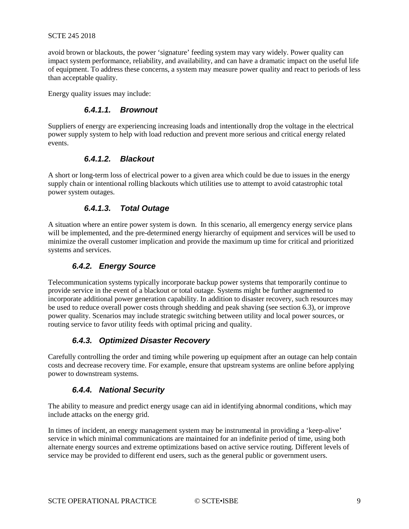avoid brown or blackouts, the power 'signature' feeding system may vary widely. Power quality can impact system performance, reliability, and availability, and can have a dramatic impact on the useful life of equipment. To address these concerns, a system may measure power quality and react to periods of less than acceptable quality.

Energy quality issues may include:

#### *6.4.1.1. Brownout*

Suppliers of energy are experiencing increasing loads and intentionally drop the voltage in the electrical power supply system to help with load reduction and prevent more serious and critical energy related events.

#### *6.4.1.2. Blackout*

A short or long-term loss of electrical power to a given area which could be due to issues in the energy supply chain or intentional rolling blackouts which utilities use to attempt to avoid catastrophic total power system outages.

#### *6.4.1.3. Total Outage*

A situation where an entire power system is down. In this scenario, all emergency energy service plans will be implemented, and the pre-determined energy hierarchy of equipment and services will be used to minimize the overall customer implication and provide the maximum up time for critical and prioritized systems and services.

#### *6.4.2. Energy Source*

<span id="page-8-0"></span>Telecommunication systems typically incorporate backup power systems that temporarily continue to provide service in the event of a blackout or total outage. Systems might be further augmented to incorporate additional power generation capability. In addition to disaster recovery, such resources may be used to reduce overall power costs through shedding and peak shaving (see sectio[n 6.3\)](#page-7-2), or improve power quality. Scenarios may include strategic switching between utility and local power sources, or routing service to favor utility feeds with optimal pricing and quality.

#### *6.4.3. Optimized Disaster Recovery*

<span id="page-8-2"></span><span id="page-8-1"></span>Carefully controlling the order and timing while powering up equipment after an outage can help contain costs and decrease recovery time. For example, ensure that upstream systems are online before applying power to downstream systems.

#### *6.4.4. National Security*

The ability to measure and predict energy usage can aid in identifying abnormal conditions, which may include attacks on the energy grid.

In times of incident, an energy management system may be instrumental in providing a 'keep-alive' service in which minimal communications are maintained for an indefinite period of time, using both alternate energy sources and extreme optimizations based on active service routing. Different levels of service may be provided to different end users, such as the general public or government users.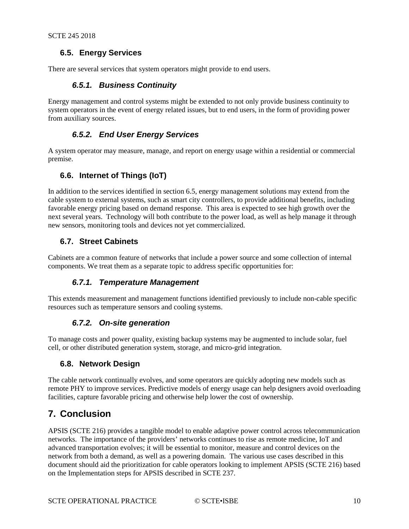#### <span id="page-9-0"></span>**6.5. Energy Services**

<span id="page-9-1"></span>There are several services that system operators might provide to end users.

#### *6.5.1. Business Continuity*

<span id="page-9-2"></span>Energy management and control systems might be extended to not only provide business continuity to system operators in the event of energy related issues, but to end users, in the form of providing power from auxiliary sources.

#### *6.5.2. End User Energy Services*

<span id="page-9-3"></span>A system operator may measure, manage, and report on energy usage within a residential or commercial premise.

#### **6.6. Internet of Things (IoT)**

In addition to the services identified in section 6.5, energy management solutions may extend from the cable system to external systems, such as smart city controllers, to provide additional benefits, including favorable energy pricing based on demand response. This area is expected to see high growth over the next several years. Technology will both contribute to the power load, as well as help manage it through new sensors, monitoring tools and devices not yet commercialized.

#### <span id="page-9-4"></span>**6.7. Street Cabinets**

<span id="page-9-5"></span>Cabinets are a common feature of networks that include a power source and some collection of internal components. We treat them as a separate topic to address specific opportunities for:

#### *6.7.1. Temperature Management*

<span id="page-9-6"></span>This extends measurement and management functions identified previously to include non-cable specific resources such as temperature sensors and cooling systems.

#### *6.7.2. On-site generation*

To manage costs and power quality, existing backup systems may be augmented to include solar, fuel cell, or other distributed generation system, storage, and micro-grid integration.

#### <span id="page-9-7"></span>**6.8. Network Design**

The cable network continually evolves, and some operators are quickly adopting new models such as remote PHY to improve services. Predictive models of energy usage can help designers avoid overloading facilities, capture favorable pricing and otherwise help lower the cost of ownership.

### <span id="page-9-8"></span>**7. Conclusion**

APSIS (SCTE 216) provides a tangible model to enable adaptive power control across telecommunication networks. The importance of the providers' networks continues to rise as remote medicine, IoT and advanced transportation evolves; it will be essential to monitor, measure and control devices on the network from both a demand, as well as a powering domain. The various use cases described in this document should aid the prioritization for cable operators looking to implement APSIS (SCTE 216) based on the Implementation steps for APSIS described in SCTE 237.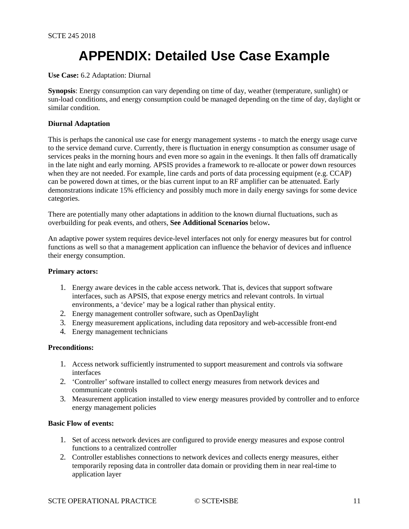## **APPENDIX: Detailed Use Case Example**

#### <span id="page-10-0"></span>**Use Case:** 6.2 Adaptation: Diurnal

**Synopsis**: Energy consumption can vary depending on time of day, weather (temperature, sunlight) or sun-load conditions, and energy consumption could be managed depending on the time of day, daylight or similar condition.

#### **Diurnal Adaptation**

This is perhaps the canonical use case for energy management systems - to match the energy usage curve to the service demand curve. Currently, there is fluctuation in energy consumption as consumer usage of services peaks in the morning hours and even more so again in the evenings. It then falls off dramatically in the late night and early morning. APSIS provides a framework to re-allocate or power down resources when they are not needed. For example, line cards and ports of data processing equipment (e.g. CCAP) can be powered down at times, or the bias current input to an RF amplifier can be attenuated. Early demonstrations indicate 15% efficiency and possibly much more in daily energy savings for some device categories.

There are potentially many other adaptations in addition to the known diurnal fluctuations, such as overbuilding for peak events, and others, **See Additional Scenarios** below**.**

An adaptive power system requires device-level interfaces not only for energy measures but for control functions as well so that a management application can influence the behavior of devices and influence their energy consumption.

#### **Primary actors:**

- 1. Energy aware devices in the cable access network. That is, devices that support software interfaces, such as APSIS, that expose energy metrics and relevant controls. In virtual environments, a 'device' may be a logical rather than physical entity.
- 2. Energy management controller software, such as OpenDaylight
- 3. Energy measurement applications, including data repository and web-accessible front-end
- 4. Energy management technicians

#### **Preconditions:**

- 1. Access network sufficiently instrumented to support measurement and controls via software interfaces
- 2. 'Controller' software installed to collect energy measures from network devices and communicate controls
- 3. Measurement application installed to view energy measures provided by controller and to enforce energy management policies

#### **Basic Flow of events:**

- 1. Set of access network devices are configured to provide energy measures and expose control functions to a centralized controller
- 2. Controller establishes connections to network devices and collects energy measures, either temporarily reposing data in controller data domain or providing them in near real-time to application layer